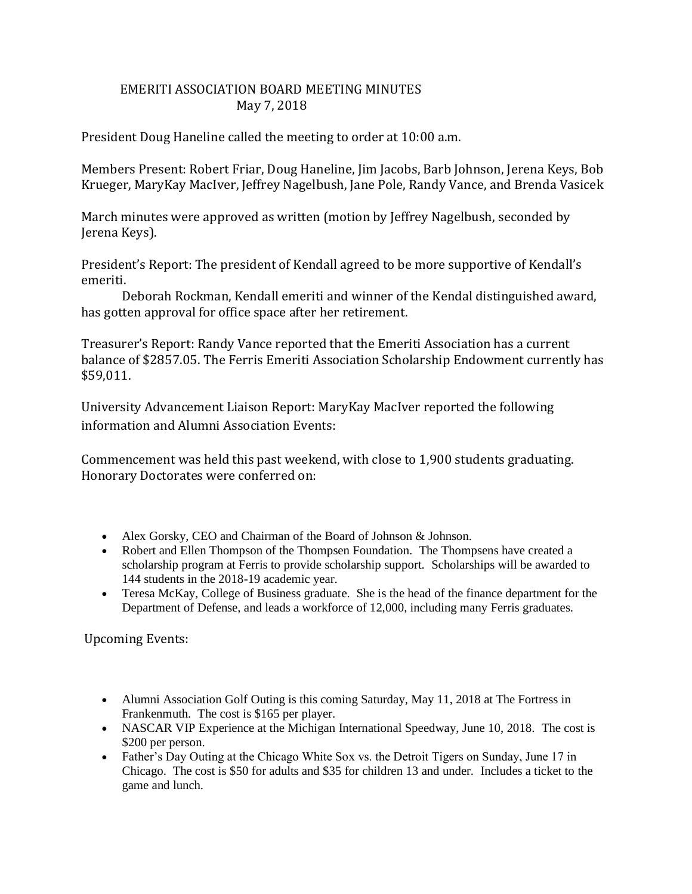## EMERITI ASSOCIATION BOARD MEETING MINUTES May 7, 2018

President Doug Haneline called the meeting to order at 10:00 a.m.

Members Present: Robert Friar, Doug Haneline, Jim Jacobs, Barb Johnson, Jerena Keys, Bob Krueger, MaryKay MacIver, Jeffrey Nagelbush, Jane Pole, Randy Vance, and Brenda Vasicek

March minutes were approved as written (motion by Jeffrey Nagelbush, seconded by Jerena Keys).

President's Report: The president of Kendall agreed to be more supportive of Kendall's emeriti.

Deborah Rockman, Kendall emeriti and winner of the Kendal distinguished award, has gotten approval for office space after her retirement.

Treasurer's Report: Randy Vance reported that the Emeriti Association has a current balance of \$2857.05. The Ferris Emeriti Association Scholarship Endowment currently has \$59,011.

University Advancement Liaison Report: MaryKay MacIver reported the following information and Alumni Association Events:

Commencement was held this past weekend, with close to 1,900 students graduating. Honorary Doctorates were conferred on:

- Alex Gorsky, CEO and Chairman of the Board of Johnson & Johnson.
- Robert and Ellen Thompson of the Thompsen Foundation. The Thompsens have created a scholarship program at Ferris to provide scholarship support. Scholarships will be awarded to 144 students in the 2018-19 academic year.
- Teresa McKay, College of Business graduate. She is the head of the finance department for the Department of Defense, and leads a workforce of 12,000, including many Ferris graduates.

Upcoming Events:

- Alumni Association Golf Outing is this coming Saturday, May 11, 2018 at The Fortress in Frankenmuth. The cost is \$165 per player.
- NASCAR VIP Experience at the Michigan International Speedway, June 10, 2018. The cost is \$200 per person.
- Father's Day Outing at the Chicago White Sox vs. the Detroit Tigers on Sunday, June 17 in Chicago. The cost is \$50 for adults and \$35 for children 13 and under. Includes a ticket to the game and lunch.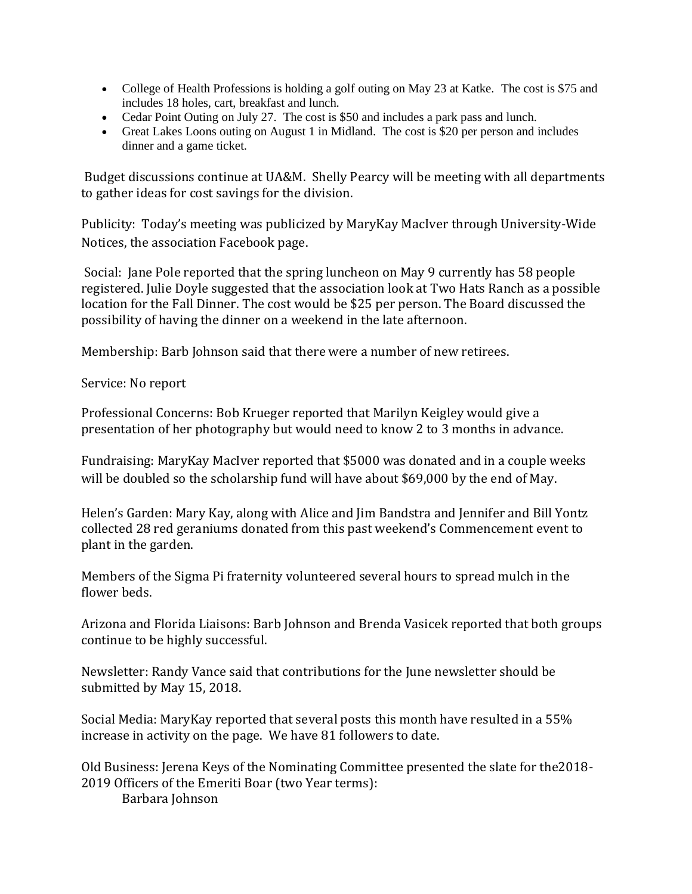- College of Health Professions is holding a golf outing on May 23 at Katke. The cost is \$75 and includes 18 holes, cart, breakfast and lunch.
- Cedar Point Outing on July 27. The cost is \$50 and includes a park pass and lunch.
- Great Lakes Loons outing on August 1 in Midland. The cost is \$20 per person and includes dinner and a game ticket.

Budget discussions continue at UA&M. Shelly Pearcy will be meeting with all departments to gather ideas for cost savings for the division.

Publicity: Today's meeting was publicized by MaryKay MacIver through University-Wide Notices, the association Facebook page.

Social: Jane Pole reported that the spring luncheon on May 9 currently has 58 people registered. Julie Doyle suggested that the association look at Two Hats Ranch as a possible location for the Fall Dinner. The cost would be \$25 per person. The Board discussed the possibility of having the dinner on a weekend in the late afternoon.

Membership: Barb Johnson said that there were a number of new retirees.

Service: No report

Professional Concerns: Bob Krueger reported that Marilyn Keigley would give a presentation of her photography but would need to know 2 to 3 months in advance.

Fundraising: MaryKay MacIver reported that \$5000 was donated and in a couple weeks will be doubled so the scholarship fund will have about \$69,000 by the end of May.

Helen's Garden: Mary Kay, along with Alice and Jim Bandstra and Jennifer and Bill Yontz collected 28 red geraniums donated from this past weekend's Commencement event to plant in the garden.

Members of the Sigma Pi fraternity volunteered several hours to spread mulch in the flower beds.

Arizona and Florida Liaisons: Barb Johnson and Brenda Vasicek reported that both groups continue to be highly successful.

Newsletter: Randy Vance said that contributions for the June newsletter should be submitted by May 15, 2018.

Social Media: MaryKay reported that several posts this month have resulted in a 55% increase in activity on the page. We have 81 followers to date.

Old Business: Jerena Keys of the Nominating Committee presented the slate for the2018- 2019 Officers of the Emeriti Boar (two Year terms):

Barbara Johnson